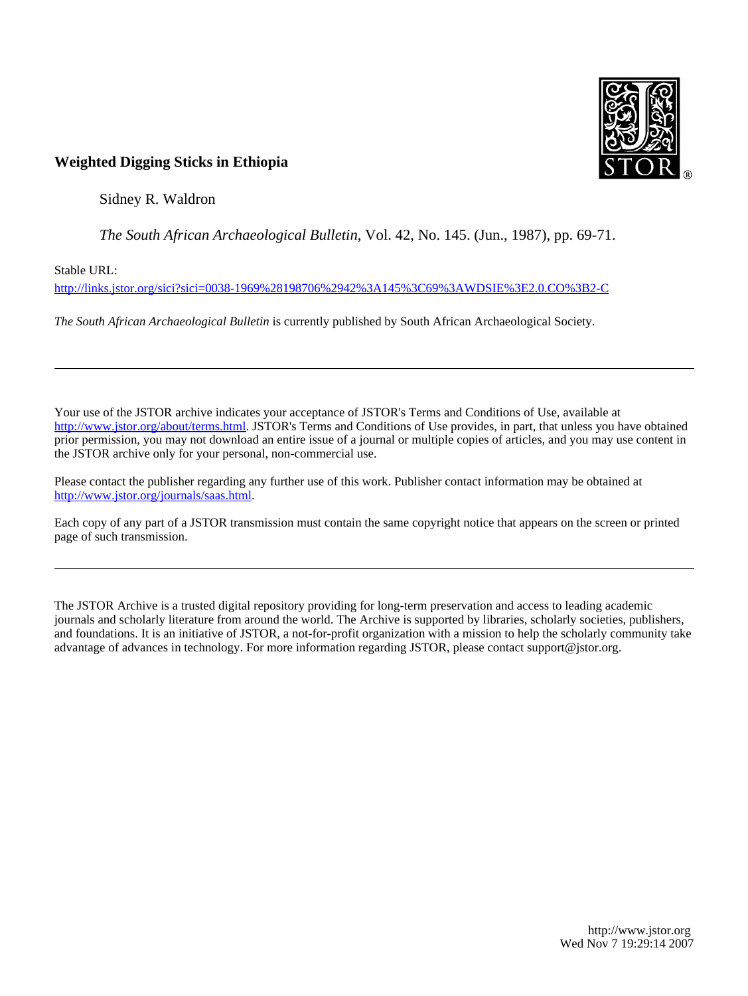

# **Weighted Digging Sticks in Ethiopia**

Sidney R. Waldron

*The South African Archaeological Bulletin*, Vol. 42, No. 145. (Jun., 1987), pp. 69-71.

Stable URL:

<http://links.jstor.org/sici?sici=0038-1969%28198706%2942%3A145%3C69%3AWDSIE%3E2.0.CO%3B2-C>

*The South African Archaeological Bulletin* is currently published by South African Archaeological Society.

Your use of the JSTOR archive indicates your acceptance of JSTOR's Terms and Conditions of Use, available at [http://www.jstor.org/about/terms.html.](http://www.jstor.org/about/terms.html) JSTOR's Terms and Conditions of Use provides, in part, that unless you have obtained prior permission, you may not download an entire issue of a journal or multiple copies of articles, and you may use content in the JSTOR archive only for your personal, non-commercial use.

Please contact the publisher regarding any further use of this work. Publisher contact information may be obtained at <http://www.jstor.org/journals/saas.html>.

Each copy of any part of a JSTOR transmission must contain the same copyright notice that appears on the screen or printed page of such transmission.

The JSTOR Archive is a trusted digital repository providing for long-term preservation and access to leading academic journals and scholarly literature from around the world. The Archive is supported by libraries, scholarly societies, publishers, and foundations. It is an initiative of JSTOR, a not-for-profit organization with a mission to help the scholarly community take advantage of advances in technology. For more information regarding JSTOR, please contact support@jstor.org.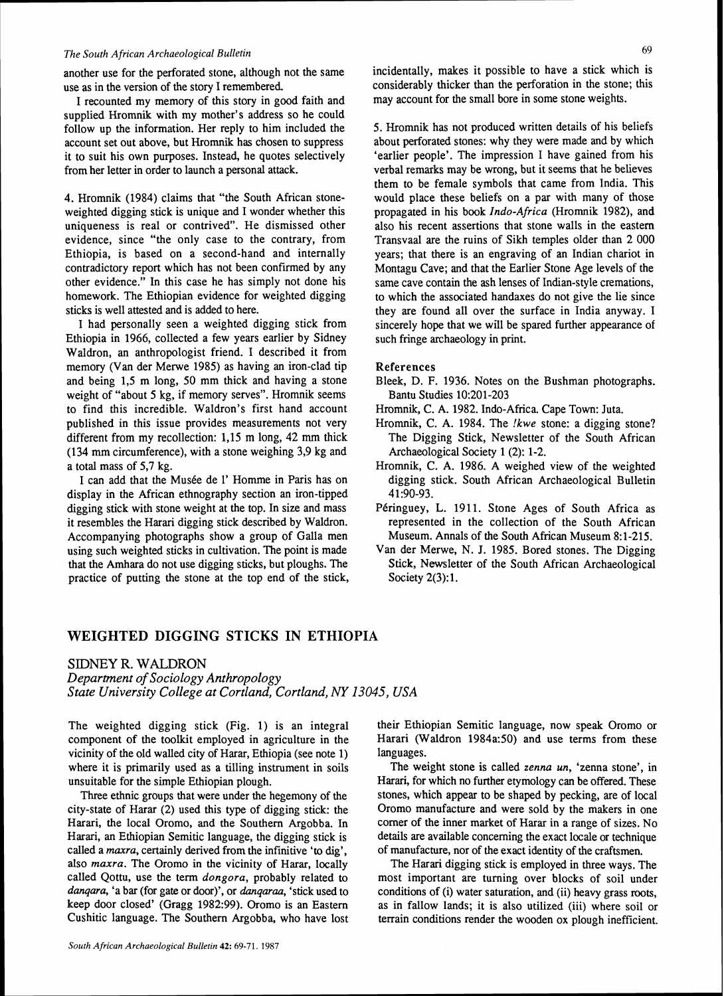# 69 *The South African Archaeological Bulletin*

another use for the perforated stone, although not the same use as in the version of the story I remembered.

I recounted my memory of this story in good faith and supplied Hromnik with my mother's address so he could follow up the information. Her reply to him included the account set out above, but Hromnik has chosen to suppress it to suit his own purposes. Instead, he quotes selectively from her letter in order to launch a personal attack.

4. Hromnik (1984) claims that "the South African stoneweighted digging stick is unique and I wonder whether this uniqueness is real or contrived". He dismissed other evidence, since "the only case to the contrary, from Ethiopia, is based on a second-hand and internally contradictory report which has not been confirmed by any other evidence." In this case he has simply not done his homework. The Ethiopian evidence for weighted digging sticks is well attested and is added to here.

I had personally seen a weighted digging stick from Ethiopia in 1966, collected a few years earlier by Sidney Waldron, an anthropologist friend. I described it from memory (Van der Merwe 1985) as having an iron-clad tip and being 1,5 m long, 50 mm thick and having a stone weight of "about 5 kg, if memory serves". Hromnik seems to find this incredible. Waldron's first hand account published in this issue provides measurements not very different from my recollection:  $1,15$  m long,  $42$  mm thick (134 **rnm** circumference), with a stone weighing 3,9 kg and a total mass of 5,7 kg.

I can add that the Musée de l' Homme in Paris has on display in the African ethnography section an iron-tipped digging stick with stone weight at the top. In size and mass it resembles the Harari digging stick described by Waldron. Accompanying photographs show a group of Galla men using such weighted sticks in cultivation. The point is made that the Amhara do not use digging sticks, but ploughs. The practice of putting the stone at the top end of the stick, incidentally, makes it possible to have a stick which is considerably thicker than the perforation in the stone; this may account for the small bore in some stone weights.

5. Hromnik has not produced written details of his beliefs about perforated stones: why they were made and by which 'earlier people'. The impression I have gained from his verbal remarks may be wrong, but it seems that he believes them to be female symbols that came from India. This would place these beliefs on a par with many of those propagated in his book Indo-Africa (Hromnik 1982), and also his recent assertions that stone walls in the eastern Transvaal are the ruins of Sikh temples older than 2 000 years; that there is an engraving of an Indian chariot in Montagu Cave; and that the Earlier Stone Age levels of the same cave contain the ash lenses of Indian-style cremations, to which the associated handaxes do not give the lie since they are found all over the surface in India anyway. I sincerely hope that we will be spared further appearance of such fringe archaeology in print.

#### **References**

- Bleek, D. F. 1936. Notes on the Bushman photographs. Bantu Studies 10:201-203
- Hromnik, C. A. 1982. Indo-Africa. Cape Town: Juta.
- Hromnik, C. A. 1984. The *!kwe* stone: a digging stone? The Digging Stick, Newsletter of the South African Archaeological Society 1 (2): 1-2.
- Hromnik, C. A. 1986. A weighed view of the weighted digging stick. South African Archaeological Bulletin 41~90-93.
- Péringuey, L. 1911. Stone Ages of South Africa as represented in the collection of the South African Museum. Annals of the South African Museum 8:l-215.
- Van der Merwe, N. J. 1985. Bored stones. The Digging Stick, Newsletter of the South African Archaeological Society 2(3):1.

## **WEIGHTED DIGGING STICKS IN ETHIOPIA**

#### *SIDNEY* R. *WALDRON*

*Department of Sociology Anthropology State University College at Cortland, Cortland, NY 13045, USA* 

The weighted digging stick (Fig. 1) is an integral component of the toolkit employed in agriculture in the vicinity of the old walled city of Harar, Ethiopia (see note 1) where it is primarily used as a tilling instrument in soils unsuitable for the simple Ethiopian plough.

Three ethnic groups that were under the hegemony of the city-state of Harar (2) used this type of digging stick: the Harari, the local Oromo, and the Southern Argobba. In Harari, an Ethiopian Semitic language, the digging stick is called a maxra, certainly derived from the infinitive 'to dig', also maxra. The Oromo in the vicinity of Harar, locally called Qottu, use the term *dongora*, probably related to danqara, 'a bar (for gate or door)', or danqaraa, 'stick used to keep door closed' (Gragg 1982:99). Oromo is an Eastern Cushitic language. The Southern Argobba, who have lost their Ethiopian Semitic language, now speak Oromo or Harari (Waldron 1984a:50) and use terms from these languages.

The weight stone is called zenna un, 'zenna stone', in Harari, for which no further etymology can be offered. These stones, which appear to be shaped by pecking, are of local Oromo manufacture and were sold by the makers in one comer of the inner market of Harar in a range of sizes. No details are available concerning the exact locale or technique of manufacture, nor of the exact identity of the craftsmen.

The Harari digging stick is employed in three ways. The most important are turning over blocks of soil under conditions of (i) water saturation, and (ii) heavy grass roots, as in fallow lands; it is also utilized (iii) where soil or terrain conditions render the wooden ox plough inefficient.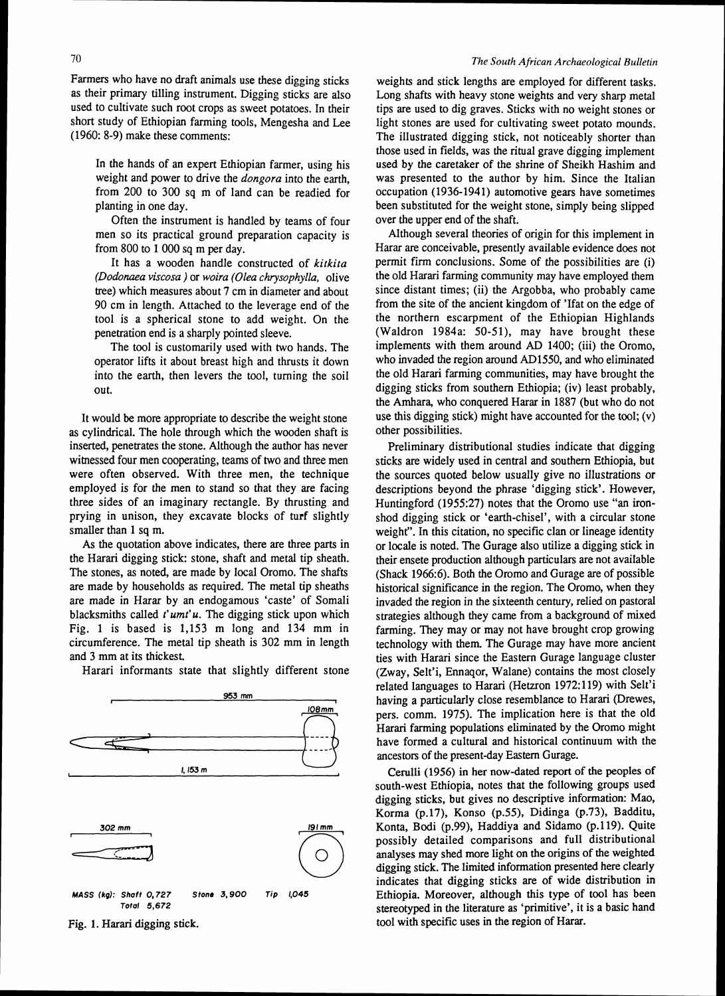Farmers who have no draft animals use these digging sticks as their primary tilling instrument. Digging sticks are also used to cultivate such root crops as sweet potatoes. In their short study of Ethiopian farming tools, Mengesha and Lee (1960: 8-9) make these comments:

In the hands of an expert Ethiopian farmer, using his weight and power to drive the *dongora* into the earth, from 200 to 300 sq m of land can be readied for planting in one day.

Often the instrument is handled by teams of four men so its practical ground preparation capacity is from 800 to 1 000 sq m per day.

It has a wooden handle constructed of *kirkita (Dodoma viscosa* ) or *woira (Olea chrysophylla,* olive tree) which measures about 7 cm in diameter and about 90 cm in length. Attached to the leverage end of the tool is a spherical stone to add weight. On the penetration end is a sharply pointed sleeve.

The tool is customarily used with two hands. The operator lifts it about breast high and thrusts it down into the earth, then levers the tool, turning the soil out.

It would be more appropriate to describe the weight stone as cylindrical. The hole through which the wooden shaft is inserted, penetrates the stone. Although the author has never witnessed four men cooperating, teams of two and three men were often observed. With three men, the technique employed is for the men to stand so that they are facing three sides of an imaginary rectangle. By thrusting and prying in unison, they excavate blocks of turf slightly smaller than 1 sq m.

As the quotation above indicates, there are three parts in the Harari digging stick: stone, shaft and metal tip sheath. The stones, as noted, are made by local Oromo. The shafts are made by households as required. The metal tip sheaths are made in Harar by an endogamous 'caste' of Somali blacksmiths called *t'umt'u.* The digging stick upon which Fig. 1 is based is 1,153 m long and 134 mm in circumference. The metal tip sheath is 302 mm in length and 3 **mrn** at its thickest.

Harari informants state that slightly different stone



Fig. 1.Harari digging stick.

#### *The South African Archaeological Bulletin*

weights and stick lengths are employed for different tasks. Long shafts with heavy stone weights and very sharp metal tips are used to dig graves. Sticks with no weight stones or light stones are used for cultivating sweet potato mounds. The illustrated digging stick, not noticeably shorter than those used in fields, was the ritual grave digging implement used by the caretaker of the shrine of Sheikh Hashim and was presented to the author by him. Since the Italian occupation (1936-1941) automotive gears have sometimes been substituted for the weight stone, simply being slipped over the upper end of the shaft.

Although several theories of origin for this implement in Harar are conceivable, presently available evidence does not permit firm conclusions. Some of the possibilities are (i) the old Harari farming community may have employed them since distant times; (ii) the Argobba, who probably came from the site of the ancient kingdom of 'Ifat on the edge of the northern escarpment of the Ethiopian Highlands (Waldron 1984a: 50-51), may have brought these implements with them around AD 1400; (iii) the Oromo, who invaded the region around AD1550, and who eliminated the old Harari farming communities, may have brought the digging sticks from southern Ethiopia; (iv) least probably, the Amhara, who conquered Harar in 1887 (but who do not use this digging stick) might have accounted for the tool; (v) other possibilities.

Preliminary distributional studies indicate that digging sticks are widely used in central and southern Ethiopia, but the sources quoted below usually give no illustrations or descriptions beyond the phrase 'digging stick'. However, Huntingford (1955:27) notes that the Oromo use "an ironshod digging stick or 'earth-chisel', with a circular stone weight". In this citation, no specific clan or lineage identity or locale is noted. The Gurage also utilize a digging stick in their ensete production although particulars are not available (Shack 1966:6). Both the Oromo and Gurage are of possible historical significance in the region. The Oromo, when they invaded the region in the sixteenth century, relied on pastoral strategies although they came from a background of mixed farming. They may or may not have brought crop growing technology with them. The Gurage may have more ancient ties with Harari since the Eastern Gurage language cluster (Zway, Selt'i, Ennaqor, Walane) contains the most closely related languages to Harari (Hetzron 1972:119) with Selt'i having a particularly close resemblance to Harari (Drewes, pers. comm. 1975). The implication here is that the old Harari farming populations eliminated by the Oromo might have formed a cultural and historical continuum with the ancestors of the present-day Eastern Gurage.

**Cerulli** (1956) in her now-dated report of the peoples of south-west Ethiopia, notes that the following groups used digging sticks, but gives no descriptive information: Mao, Korma (p.17), Konso (p.53, Didinga (p.73), Badditu, Konta, Bodi (p.99), Haddiya and Sidamo (p.119). Quite possibly detailed comparisons and full distributional analyses may shed more light on the origins of the weighted digging stick. The limited information presented here clearly indicates that digging sticks are of wide distribution in Ethiopia. Moreover, although this **type** of tool has been stereotyped in the literature as 'primitive', it is a basic hand tool with specific uses in the region of Harar.